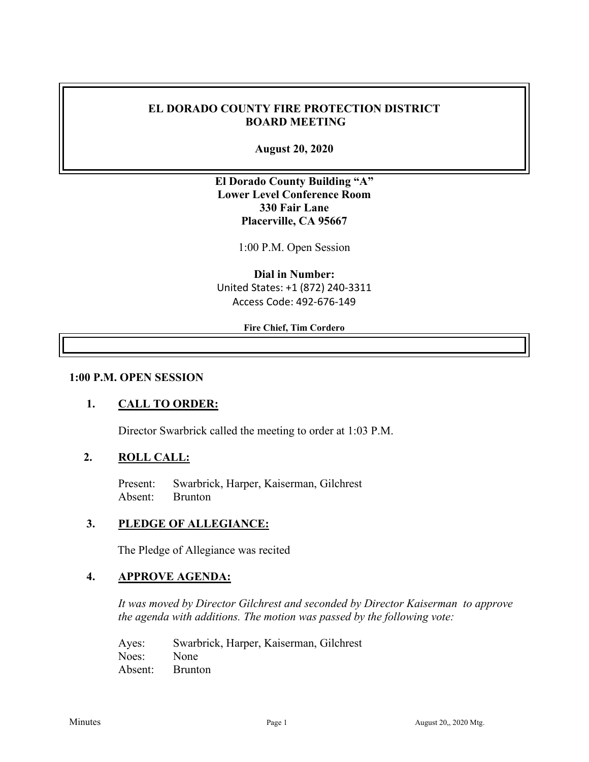### **EL DORADO COUNTY FIRE PROTECTION DISTRICT BOARD MEETING**

**August 20, 2020**

**El Dorado County Building "A" Lower Level Conference Room 330 Fair Lane Placerville, CA 95667**

1:00 P.M. Open Session

**Dial in Number:** United States: +1 (872) 240-3311 Access Code: 492-676-149

**Fire Chief, Tim Cordero**

#### **1:00 P.M. OPEN SESSION**

#### **1. CALL TO ORDER:**

Director Swarbrick called the meeting to order at 1:03 P.M.

### **2. ROLL CALL:**

Present: Swarbrick, Harper, Kaiserman, Gilchrest Absent: Brunton

#### **3. PLEDGE OF ALLEGIANCE:**

The Pledge of Allegiance was recited

#### **4. APPROVE AGENDA:**

*It was moved by Director Gilchrest and seconded by Director Kaiserman to approve the agenda with additions. The motion was passed by the following vote:*

Ayes: Swarbrick, Harper, Kaiserman, Gilchrest Noes: None Absent: Brunton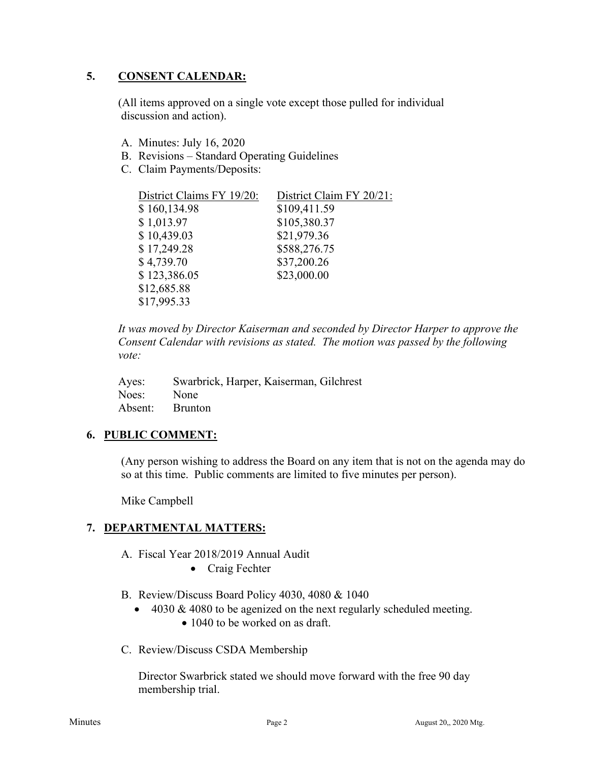### **5. CONSENT CALENDAR:**

 (All items approved on a single vote except those pulled for individual discussion and action).

- A. Minutes: July 16, 2020
- B. Revisions Standard Operating Guidelines
- C. Claim Payments/Deposits:

| District Claims FY 19/20: | District Claim FY 20/21: |
|---------------------------|--------------------------|
| \$160,134.98              | \$109,411.59             |
| \$1,013.97                | \$105,380.37             |
| \$10,439.03               | \$21,979.36              |
| \$17,249.28               | \$588,276.75             |
| \$4,739.70                | \$37,200.26              |
| \$123,386.05              | \$23,000.00              |
| \$12,685.88               |                          |
| \$17,995.33               |                          |

*It was moved by Director Kaiserman and seconded by Director Harper to approve the Consent Calendar with revisions as stated. The motion was passed by the following vote:*

| Ayes:      | Swarbrick, Harper, Kaiserman, Gilchrest |
|------------|-----------------------------------------|
| Noes: None |                                         |
|            | Absent: Brunton                         |

## **6. PUBLIC COMMENT:**

(Any person wishing to address the Board on any item that is not on the agenda may do so at this time. Public comments are limited to five minutes per person).

Mike Campbell

## **7. DEPARTMENTAL MATTERS:**

- A. Fiscal Year 2018/2019 Annual Audit
	- Craig Fechter
- B. Review/Discuss Board Policy 4030, 4080 & 1040
	- 4030 & 4080 to be agenized on the next regularly scheduled meeting.
		- 1040 to be worked on as draft.
- C. Review/Discuss CSDA Membership

Director Swarbrick stated we should move forward with the free 90 day membership trial.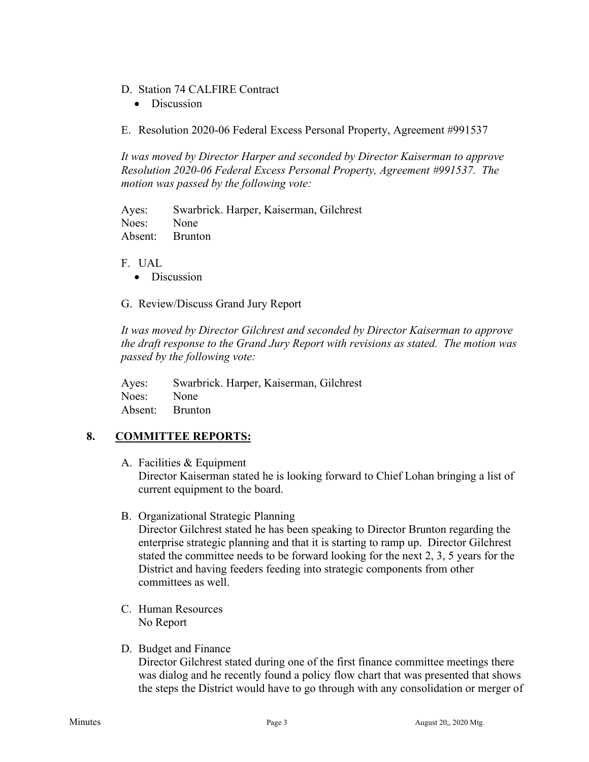- D. Station 74 CALFIRE Contract
	- Discussion

E. Resolution 2020-06 Federal Excess Personal Property, Agreement #991537

*It was moved by Director Harper and seconded by Director Kaiserman to approve Resolution 2020-06 Federal Excess Personal Property, Agreement #991537. The motion was passed by the following vote:*

Ayes: Swarbrick. Harper, Kaiserman, Gilchrest Noes: None Absent: Brunton

#### F. UAL

• Discussion

G. Review/Discuss Grand Jury Report

*It was moved by Director Gilchrest and seconded by Director Kaiserman to approve the draft response to the Grand Jury Report with revisions as stated. The motion was passed by the following vote:*

Ayes: Swarbrick. Harper, Kaiserman, Gilchrest Noes: None Absent: Brunton

## **8. COMMITTEE REPORTS:**

A. Facilities & Equipment

Director Kaiserman stated he is looking forward to Chief Lohan bringing a list of current equipment to the board.

B. Organizational Strategic Planning

Director Gilchrest stated he has been speaking to Director Brunton regarding the enterprise strategic planning and that it is starting to ramp up. Director Gilchrest stated the committee needs to be forward looking for the next 2, 3, 5 years for the District and having feeders feeding into strategic components from other committees as well.

- C. Human Resources No Report
- D. Budget and Finance

Director Gilchrest stated during one of the first finance committee meetings there was dialog and he recently found a policy flow chart that was presented that shows the steps the District would have to go through with any consolidation or merger of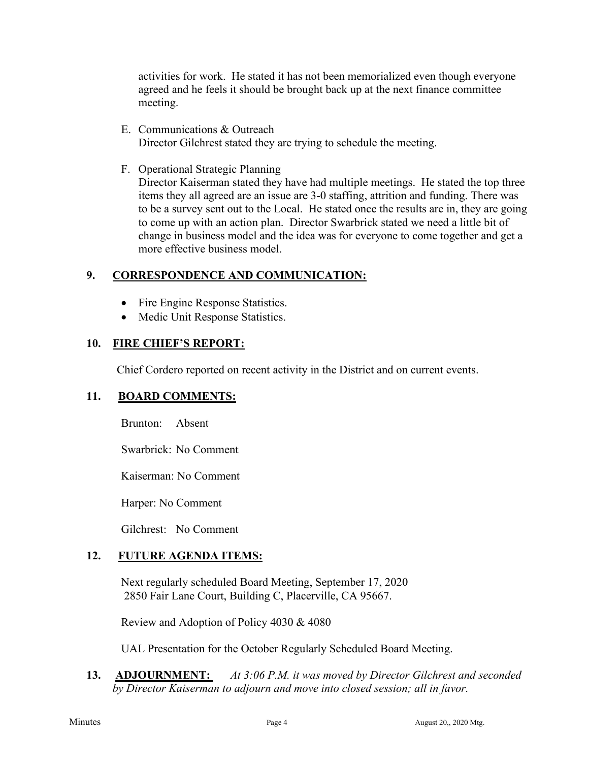activities for work. He stated it has not been memorialized even though everyone agreed and he feels it should be brought back up at the next finance committee meeting.

- E. Communications & Outreach Director Gilchrest stated they are trying to schedule the meeting.
- F. Operational Strategic Planning

Director Kaiserman stated they have had multiple meetings. He stated the top three items they all agreed are an issue are 3-0 staffing, attrition and funding. There was to be a survey sent out to the Local. He stated once the results are in, they are going to come up with an action plan. Director Swarbrick stated we need a little bit of change in business model and the idea was for everyone to come together and get a more effective business model.

## **9. CORRESPONDENCE AND COMMUNICATION:**

- Fire Engine Response Statistics.
- Medic Unit Response Statistics.

## **10. FIRE CHIEF'S REPORT:**

Chief Cordero reported on recent activity in the District and on current events.

## **11. BOARD COMMENTS:**

Brunton: Absent

Swarbrick: No Comment

Kaiserman: No Comment

Harper: No Comment

Gilchrest: No Comment

## **12. FUTURE AGENDA ITEMS:**

Next regularly scheduled Board Meeting, September 17, 2020 2850 Fair Lane Court, Building C, Placerville, CA 95667.

Review and Adoption of Policy 4030 & 4080

UAL Presentation for the October Regularly Scheduled Board Meeting.

**13. ADJOURNMENT:** *At 3:06 P.M. it was moved by Director Gilchrest and seconded by Director Kaiserman to adjourn and move into closed session; all in favor.*